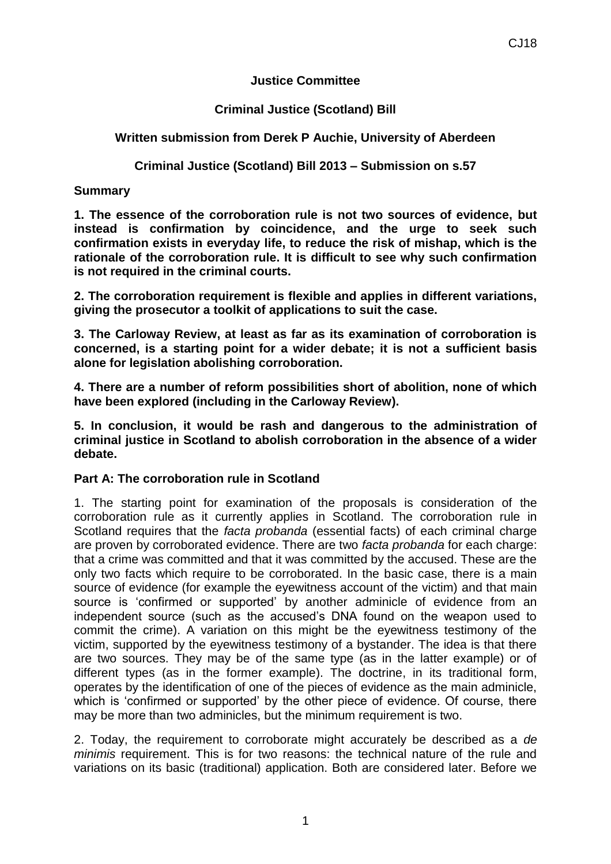## **Justice Committee**

# **Criminal Justice (Scotland) Bill**

# **Written submission from Derek P Auchie, University of Aberdeen**

# **Criminal Justice (Scotland) Bill 2013 – Submission on s.57**

# **Summary**

**1. The essence of the corroboration rule is not two sources of evidence, but instead is confirmation by coincidence, and the urge to seek such confirmation exists in everyday life, to reduce the risk of mishap, which is the rationale of the corroboration rule. It is difficult to see why such confirmation is not required in the criminal courts.**

**2. The corroboration requirement is flexible and applies in different variations, giving the prosecutor a toolkit of applications to suit the case.**

**3. The Carloway Review, at least as far as its examination of corroboration is concerned, is a starting point for a wider debate; it is not a sufficient basis alone for legislation abolishing corroboration.**

**4. There are a number of reform possibilities short of abolition, none of which have been explored (including in the Carloway Review).**

**5. In conclusion, it would be rash and dangerous to the administration of criminal justice in Scotland to abolish corroboration in the absence of a wider debate.** 

# **Part A: The corroboration rule in Scotland**

1. The starting point for examination of the proposals is consideration of the corroboration rule as it currently applies in Scotland. The corroboration rule in Scotland requires that the *facta probanda* (essential facts) of each criminal charge are proven by corroborated evidence. There are two *facta probanda* for each charge: that a crime was committed and that it was committed by the accused. These are the only two facts which require to be corroborated. In the basic case, there is a main source of evidence (for example the eyewitness account of the victim) and that main source is 'confirmed or supported' by another adminicle of evidence from an independent source (such as the accused's DNA found on the weapon used to commit the crime). A variation on this might be the eyewitness testimony of the victim, supported by the eyewitness testimony of a bystander. The idea is that there are two sources. They may be of the same type (as in the latter example) or of different types (as in the former example). The doctrine, in its traditional form, operates by the identification of one of the pieces of evidence as the main adminicle, which is 'confirmed or supported' by the other piece of evidence. Of course, there may be more than two adminicles, but the minimum requirement is two.

2. Today, the requirement to corroborate might accurately be described as a *de minimis* requirement. This is for two reasons: the technical nature of the rule and variations on its basic (traditional) application. Both are considered later. Before we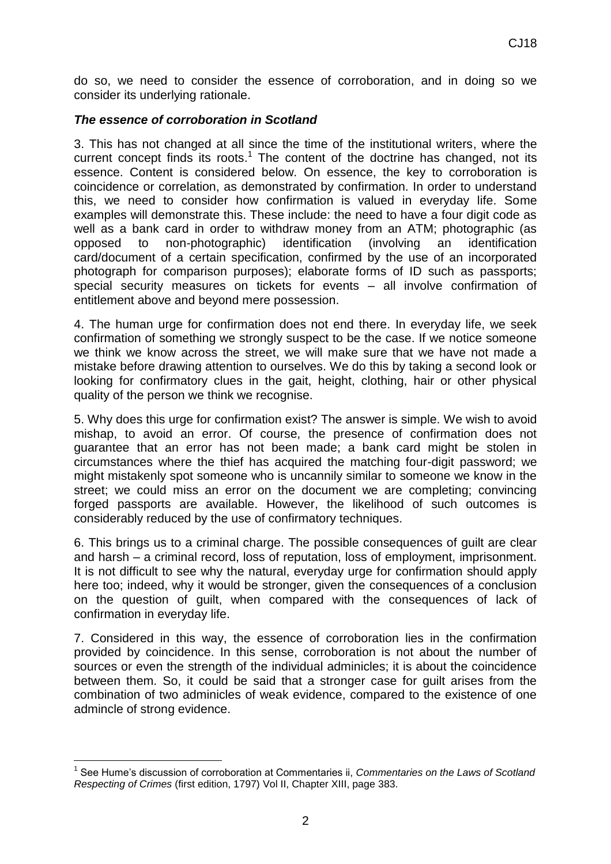do so, we need to consider the essence of corroboration, and in doing so we consider its underlying rationale.

## *The essence of corroboration in Scotland*

3. This has not changed at all since the time of the institutional writers, where the current concept finds its roots.<sup>1</sup> The content of the doctrine has changed, not its essence. Content is considered below. On essence, the key to corroboration is coincidence or correlation, as demonstrated by confirmation. In order to understand this, we need to consider how confirmation is valued in everyday life. Some examples will demonstrate this. These include: the need to have a four digit code as well as a bank card in order to withdraw money from an ATM; photographic (as opposed to non-photographic) identification (involving an identification card/document of a certain specification, confirmed by the use of an incorporated photograph for comparison purposes); elaborate forms of ID such as passports; special security measures on tickets for events – all involve confirmation of entitlement above and beyond mere possession.

4. The human urge for confirmation does not end there. In everyday life, we seek confirmation of something we strongly suspect to be the case. If we notice someone we think we know across the street, we will make sure that we have not made a mistake before drawing attention to ourselves. We do this by taking a second look or looking for confirmatory clues in the gait, height, clothing, hair or other physical quality of the person we think we recognise.

5. Why does this urge for confirmation exist? The answer is simple. We wish to avoid mishap, to avoid an error. Of course, the presence of confirmation does not guarantee that an error has not been made; a bank card might be stolen in circumstances where the thief has acquired the matching four-digit password; we might mistakenly spot someone who is uncannily similar to someone we know in the street; we could miss an error on the document we are completing; convincing forged passports are available. However, the likelihood of such outcomes is considerably reduced by the use of confirmatory techniques.

6. This brings us to a criminal charge. The possible consequences of guilt are clear and harsh – a criminal record, loss of reputation, loss of employment, imprisonment. It is not difficult to see why the natural, everyday urge for confirmation should apply here too; indeed, why it would be stronger, given the consequences of a conclusion on the question of guilt, when compared with the consequences of lack of confirmation in everyday life.

7. Considered in this way, the essence of corroboration lies in the confirmation provided by coincidence. In this sense, corroboration is not about the number of sources or even the strength of the individual adminicles; it is about the coincidence between them. So, it could be said that a stronger case for guilt arises from the combination of two adminicles of weak evidence, compared to the existence of one admincle of strong evidence.

 $\overline{a}$ 

<sup>1</sup> See Hume's discussion of corroboration at Commentaries ii, *Commentaries on the Laws of Scotland Respecting of Crimes* (first edition, 1797) Vol II, Chapter XIII, page 383.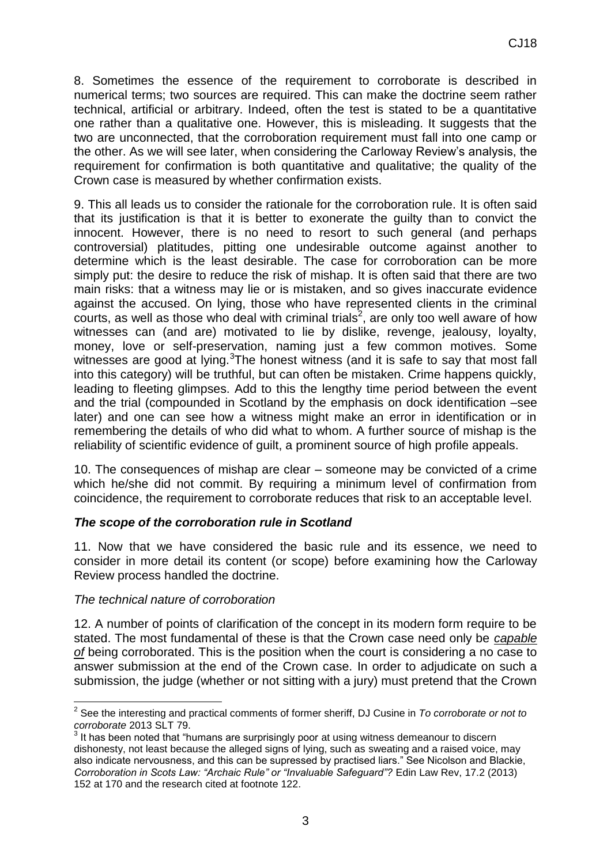8. Sometimes the essence of the requirement to corroborate is described in numerical terms; two sources are required. This can make the doctrine seem rather technical, artificial or arbitrary. Indeed, often the test is stated to be a quantitative one rather than a qualitative one. However, this is misleading. It suggests that the two are unconnected, that the corroboration requirement must fall into one camp or the other. As we will see later, when considering the Carloway Review's analysis, the requirement for confirmation is both quantitative and qualitative; the quality of the Crown case is measured by whether confirmation exists.

9. This all leads us to consider the rationale for the corroboration rule. It is often said that its justification is that it is better to exonerate the guilty than to convict the innocent. However, there is no need to resort to such general (and perhaps controversial) platitudes, pitting one undesirable outcome against another to determine which is the least desirable. The case for corroboration can be more simply put: the desire to reduce the risk of mishap. It is often said that there are two main risks: that a witness may lie or is mistaken, and so gives inaccurate evidence against the accused. On lying, those who have represented clients in the criminal courts, as well as those who deal with criminal trials<sup>2</sup>, are only too well aware of how witnesses can (and are) motivated to lie by dislike, revenge, jealousy, loyalty, money, love or self-preservation, naming just a few common motives. Some witnesses are good at lying. The honest witness (and it is safe to say that most fall into this category) will be truthful, but can often be mistaken. Crime happens quickly, leading to fleeting glimpses. Add to this the lengthy time period between the event and the trial (compounded in Scotland by the emphasis on dock identification –see later) and one can see how a witness might make an error in identification or in remembering the details of who did what to whom. A further source of mishap is the reliability of scientific evidence of guilt, a prominent source of high profile appeals.

10. The consequences of mishap are clear – someone may be convicted of a crime which he/she did not commit. By requiring a minimum level of confirmation from coincidence, the requirement to corroborate reduces that risk to an acceptable level.

### *The scope of the corroboration rule in Scotland*

11. Now that we have considered the basic rule and its essence, we need to consider in more detail its content (or scope) before examining how the Carloway Review process handled the doctrine.

### *The technical nature of corroboration*

12. A number of points of clarification of the concept in its modern form require to be stated. The most fundamental of these is that the Crown case need only be *capable of* being corroborated. This is the position when the court is considering a no case to answer submission at the end of the Crown case. In order to adjudicate on such a submission, the judge (whether or not sitting with a jury) must pretend that the Crown

 $\overline{a}$ 2 See the interesting and practical comments of former sheriff, DJ Cusine in *To corroborate or not to corroborate* 2013 SLT 79.

 $3$  It has been noted that "humans are surprisingly poor at using witness demeanour to discern dishonesty, not least because the alleged signs of lying, such as sweating and a raised voice, may also indicate nervousness, and this can be supressed by practised liars." See Nicolson and Blackie, *Corroboration in Scots Law: "Archaic Rule" or "Invaluable Safeguard"?* Edin Law Rev, 17.2 (2013) 152 at 170 and the research cited at footnote 122.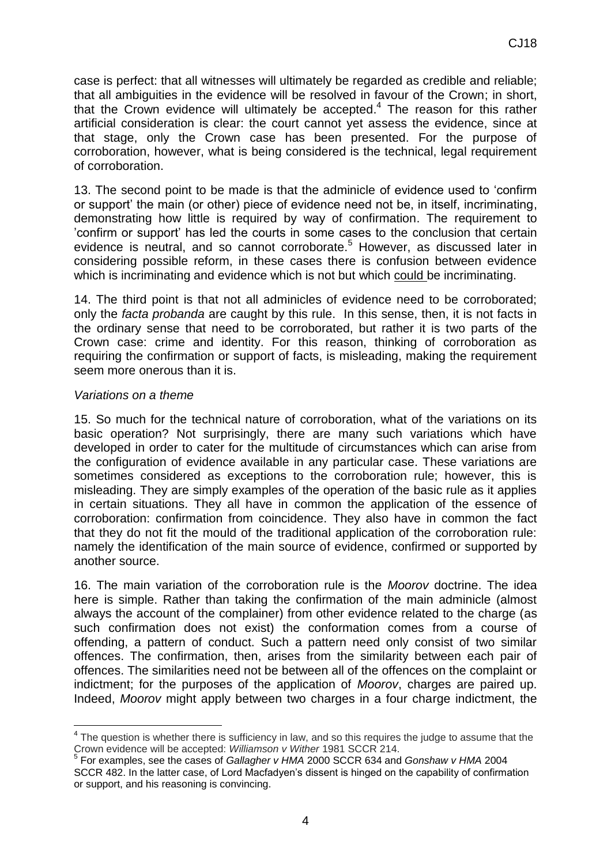case is perfect: that all witnesses will ultimately be regarded as credible and reliable; that all ambiguities in the evidence will be resolved in favour of the Crown; in short, that the Crown evidence will ultimately be accepted.<sup>4</sup> The reason for this rather artificial consideration is clear: the court cannot yet assess the evidence, since at that stage, only the Crown case has been presented. For the purpose of corroboration, however, what is being considered is the technical, legal requirement of corroboration.

13. The second point to be made is that the adminicle of evidence used to 'confirm or support' the main (or other) piece of evidence need not be, in itself, incriminating, demonstrating how little is required by way of confirmation. The requirement to 'confirm or support' has led the courts in some cases to the conclusion that certain evidence is neutral, and so cannot corroborate.<sup>5</sup> However, as discussed later in considering possible reform, in these cases there is confusion between evidence which is incriminating and evidence which is not but which could be incriminating.

14. The third point is that not all adminicles of evidence need to be corroborated; only the *facta probanda* are caught by this rule. In this sense, then, it is not facts in the ordinary sense that need to be corroborated, but rather it is two parts of the Crown case: crime and identity. For this reason, thinking of corroboration as requiring the confirmation or support of facts, is misleading, making the requirement seem more onerous than it is.

#### *Variations on a theme*

15. So much for the technical nature of corroboration, what of the variations on its basic operation? Not surprisingly, there are many such variations which have developed in order to cater for the multitude of circumstances which can arise from the configuration of evidence available in any particular case. These variations are sometimes considered as exceptions to the corroboration rule; however, this is misleading. They are simply examples of the operation of the basic rule as it applies in certain situations. They all have in common the application of the essence of corroboration: confirmation from coincidence. They also have in common the fact that they do not fit the mould of the traditional application of the corroboration rule: namely the identification of the main source of evidence, confirmed or supported by another source.

16. The main variation of the corroboration rule is the *Moorov* doctrine. The idea here is simple. Rather than taking the confirmation of the main adminicle (almost always the account of the complainer) from other evidence related to the charge (as such confirmation does not exist) the conformation comes from a course of offending, a pattern of conduct. Such a pattern need only consist of two similar offences. The confirmation, then, arises from the similarity between each pair of offences. The similarities need not be between all of the offences on the complaint or indictment; for the purposes of the application of *Moorov*, charges are paired up. Indeed, *Moorov* might apply between two charges in a four charge indictment, the

The question is whether there is sufficiency in law, and so this requires the judge to assume that the Crown evidence will be accepted: *Williamson v Wither* 1981 SCCR 214. 5

For examples, see the cases of *Gallagher v HMA* 2000 SCCR 634 and *Gonshaw v HMA* 2004 SCCR 482. In the latter case, of Lord Macfadyen's dissent is hinged on the capability of confirmation or support, and his reasoning is convincing.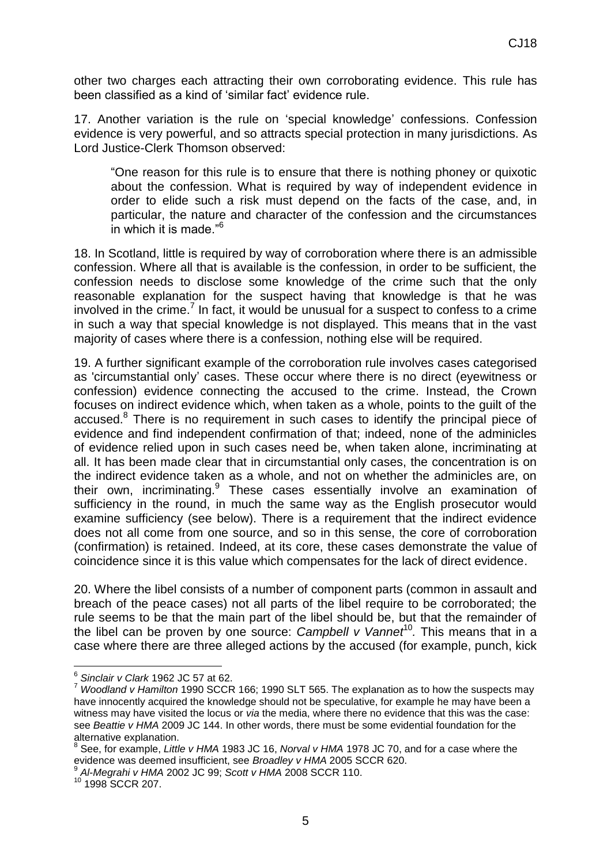other two charges each attracting their own corroborating evidence. This rule has been classified as a kind of 'similar fact' evidence rule.

17. Another variation is the rule on 'special knowledge' confessions. Confession evidence is very powerful, and so attracts special protection in many jurisdictions. As Lord Justice-Clerk Thomson observed:

"One reason for this rule is to ensure that there is nothing phoney or quixotic about the confession. What is required by way of independent evidence in order to elide such a risk must depend on the facts of the case, and, in particular, the nature and character of the confession and the circumstances in which it is made."<sup>6</sup>

18. In Scotland, little is required by way of corroboration where there is an admissible confession. Where all that is available is the confession, in order to be sufficient, the confession needs to disclose some knowledge of the crime such that the only reasonable explanation for the suspect having that knowledge is that he was involved in the crime.<sup>7</sup> In fact, it would be unusual for a suspect to confess to a crime in such a way that special knowledge is not displayed. This means that in the vast majority of cases where there is a confession, nothing else will be required.

19. A further significant example of the corroboration rule involves cases categorised as 'circumstantial only' cases. These occur where there is no direct (eyewitness or confession) evidence connecting the accused to the crime. Instead, the Crown focuses on indirect evidence which, when taken as a whole, points to the guilt of the accused.<sup>8</sup> There is no requirement in such cases to identify the principal piece of evidence and find independent confirmation of that; indeed, none of the adminicles of evidence relied upon in such cases need be, when taken alone, incriminating at all. It has been made clear that in circumstantial only cases, the concentration is on the indirect evidence taken as a whole, and not on whether the adminicles are, on their own, incriminating.<sup>9</sup> These cases essentially involve an examination of sufficiency in the round, in much the same way as the English prosecutor would examine sufficiency (see below). There is a requirement that the indirect evidence does not all come from one source, and so in this sense, the core of corroboration (confirmation) is retained. Indeed, at its core, these cases demonstrate the value of coincidence since it is this value which compensates for the lack of direct evidence.

20. Where the libel consists of a number of component parts (common in assault and breach of the peace cases) not all parts of the libel require to be corroborated; the rule seems to be that the main part of the libel should be, but that the remainder of the libel can be proven by one source: *Campbell v Vannet*<sup>10</sup>. This means that in a case where there are three alleged actions by the accused (for example, punch, kick

 6 *Sinclair v Clark* 1962 JC 57 at 62.

<sup>7</sup> *Woodland v Hamilton* 1990 SCCR 166; 1990 SLT 565. The explanation as to how the suspects may have innocently acquired the knowledge should not be speculative, for example he may have been a witness may have visited the locus or *via* the media, where there no evidence that this was the case: see *Beattie v HMA* 2009 JC 144. In other words, there must be some evidential foundation for the alternative explanation.

<sup>8</sup> See, for example, *Little v HMA* 1983 JC 16, *Norval v HMA* 1978 JC 70, and for a case where the evidence was deemed insufficient, see *Broadley v HMA* 2005 SCCR 620.

<sup>9</sup> *Al-Megrahi v HMA* 2002 JC 99; *Scott v HMA* 2008 SCCR 110.

<sup>10</sup> 1998 SCCR 207.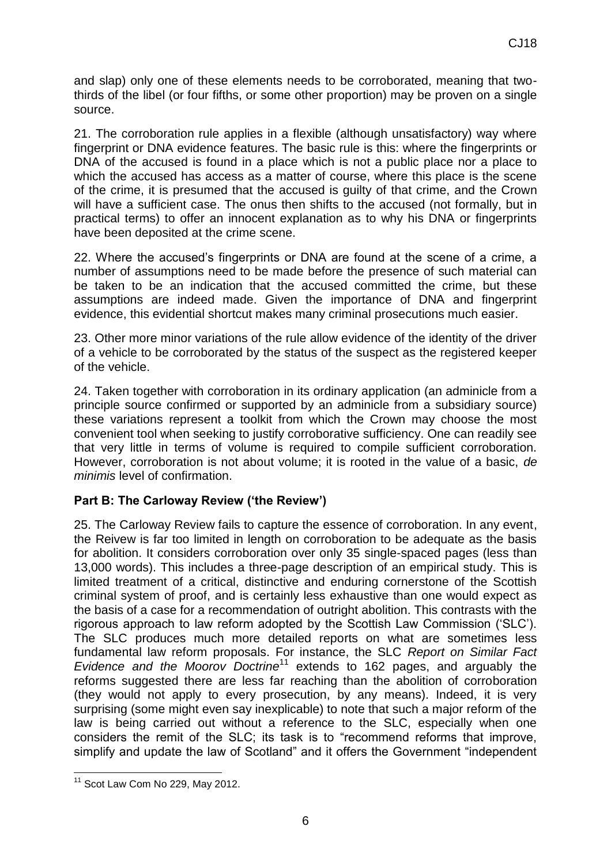and slap) only one of these elements needs to be corroborated, meaning that twothirds of the libel (or four fifths, or some other proportion) may be proven on a single source.

21. The corroboration rule applies in a flexible (although unsatisfactory) way where fingerprint or DNA evidence features. The basic rule is this: where the fingerprints or DNA of the accused is found in a place which is not a public place nor a place to which the accused has access as a matter of course, where this place is the scene of the crime, it is presumed that the accused is guilty of that crime, and the Crown will have a sufficient case. The onus then shifts to the accused (not formally, but in practical terms) to offer an innocent explanation as to why his DNA or fingerprints have been deposited at the crime scene.

22. Where the accused's fingerprints or DNA are found at the scene of a crime, a number of assumptions need to be made before the presence of such material can be taken to be an indication that the accused committed the crime, but these assumptions are indeed made. Given the importance of DNA and fingerprint evidence, this evidential shortcut makes many criminal prosecutions much easier.

23. Other more minor variations of the rule allow evidence of the identity of the driver of a vehicle to be corroborated by the status of the suspect as the registered keeper of the vehicle.

24. Taken together with corroboration in its ordinary application (an adminicle from a principle source confirmed or supported by an adminicle from a subsidiary source) these variations represent a toolkit from which the Crown may choose the most convenient tool when seeking to justify corroborative sufficiency. One can readily see that very little in terms of volume is required to compile sufficient corroboration. However, corroboration is not about volume; it is rooted in the value of a basic, *de minimis* level of confirmation.

# **Part B: The Carloway Review ('the Review')**

25. The Carloway Review fails to capture the essence of corroboration. In any event, the Reivew is far too limited in length on corroboration to be adequate as the basis for abolition. It considers corroboration over only 35 single-spaced pages (less than 13,000 words). This includes a three-page description of an empirical study. This is limited treatment of a critical, distinctive and enduring cornerstone of the Scottish criminal system of proof, and is certainly less exhaustive than one would expect as the basis of a case for a recommendation of outright abolition. This contrasts with the rigorous approach to law reform adopted by the Scottish Law Commission ('SLC'). The SLC produces much more detailed reports on what are sometimes less fundamental law reform proposals. For instance, the SLC *Report on Similar Fact Evidence and the Moorov Doctrine*<sup>11</sup> extends to 162 pages, and arguably the reforms suggested there are less far reaching than the abolition of corroboration (they would not apply to every prosecution, by any means). Indeed, it is very surprising (some might even say inexplicable) to note that such a major reform of the law is being carried out without a reference to the SLC, especially when one considers the remit of the SLC; its task is to "recommend reforms that improve, simplify and update the law of Scotland" and it offers the Government "independent

 $\overline{a}$  $11$  Scot Law Com No 229, May 2012.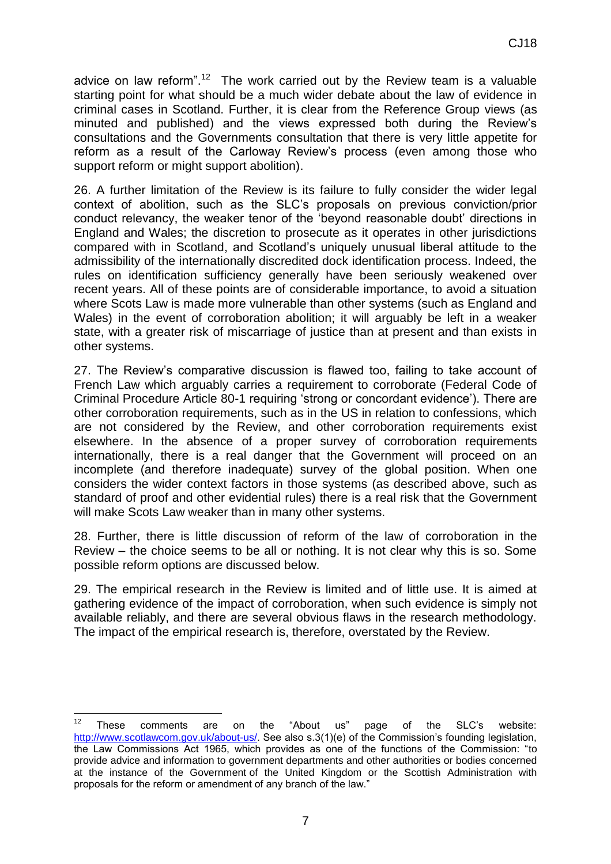advice on law reform".<sup>12</sup> The work carried out by the Review team is a valuable starting point for what should be a much wider debate about the law of evidence in criminal cases in Scotland. Further, it is clear from the Reference Group views (as minuted and published) and the views expressed both during the Review's consultations and the Governments consultation that there is very little appetite for reform as a result of the Carloway Review's process (even among those who support reform or might support abolition).

26. A further limitation of the Review is its failure to fully consider the wider legal context of abolition, such as the SLC's proposals on previous conviction/prior conduct relevancy, the weaker tenor of the 'beyond reasonable doubt' directions in England and Wales; the discretion to prosecute as it operates in other jurisdictions compared with in Scotland, and Scotland's uniquely unusual liberal attitude to the admissibility of the internationally discredited dock identification process. Indeed, the rules on identification sufficiency generally have been seriously weakened over recent years. All of these points are of considerable importance, to avoid a situation where Scots Law is made more vulnerable than other systems (such as England and Wales) in the event of corroboration abolition; it will arguably be left in a weaker state, with a greater risk of miscarriage of justice than at present and than exists in other systems.

27. The Review's comparative discussion is flawed too, failing to take account of French Law which arguably carries a requirement to corroborate (Federal Code of Criminal Procedure Article 80-1 requiring 'strong or concordant evidence'). There are other corroboration requirements, such as in the US in relation to confessions, which are not considered by the Review, and other corroboration requirements exist elsewhere. In the absence of a proper survey of corroboration requirements internationally, there is a real danger that the Government will proceed on an incomplete (and therefore inadequate) survey of the global position. When one considers the wider context factors in those systems (as described above, such as standard of proof and other evidential rules) there is a real risk that the Government will make Scots Law weaker than in many other systems.

28. Further, there is little discussion of reform of the law of corroboration in the Review – the choice seems to be all or nothing. It is not clear why this is so. Some possible reform options are discussed below.

29. The empirical research in the Review is limited and of little use. It is aimed at gathering evidence of the impact of corroboration, when such evidence is simply not available reliably, and there are several obvious flaws in the research methodology. The impact of the empirical research is, therefore, overstated by the Review.

 $12$ <sup>12</sup> These comments are on the "About us" page of the SLC's website: [http://www.scotlawcom.gov.uk/about-us/.](http://www.scotlawcom.gov.uk/about-us/) See also s.3(1)(e) of the Commission's founding legislation, the Law Commissions Act 1965, which provides as one of the functions of the Commission: "to provide advice and information to government departments and other authorities or bodies concerned at the instance of the Government of the United Kingdom or the Scottish Administration with proposals for the reform or amendment of any branch of the law."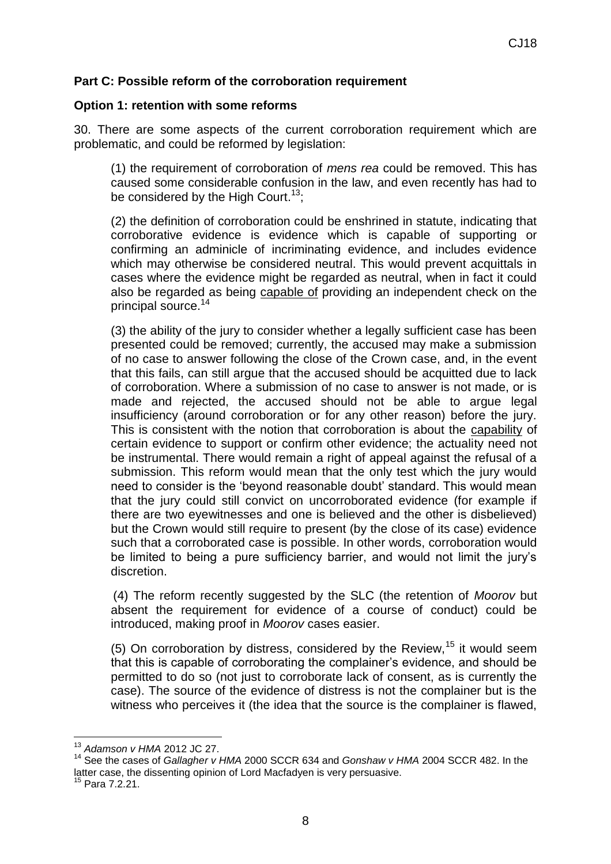## **Part C: Possible reform of the corroboration requirement**

### **Option 1: retention with some reforms**

30. There are some aspects of the current corroboration requirement which are problematic, and could be reformed by legislation:

(1) the requirement of corroboration of *mens rea* could be removed. This has caused some considerable confusion in the law, and even recently has had to be considered by the High Court.<sup>13</sup>;

(2) the definition of corroboration could be enshrined in statute, indicating that corroborative evidence is evidence which is capable of supporting or confirming an adminicle of incriminating evidence, and includes evidence which may otherwise be considered neutral. This would prevent acquittals in cases where the evidence might be regarded as neutral, when in fact it could also be regarded as being capable of providing an independent check on the principal source.<sup>14</sup>

(3) the ability of the jury to consider whether a legally sufficient case has been presented could be removed; currently, the accused may make a submission of no case to answer following the close of the Crown case, and, in the event that this fails, can still argue that the accused should be acquitted due to lack of corroboration. Where a submission of no case to answer is not made, or is made and rejected, the accused should not be able to argue legal insufficiency (around corroboration or for any other reason) before the jury. This is consistent with the notion that corroboration is about the capability of certain evidence to support or confirm other evidence; the actuality need not be instrumental. There would remain a right of appeal against the refusal of a submission. This reform would mean that the only test which the jury would need to consider is the 'beyond reasonable doubt' standard. This would mean that the jury could still convict on uncorroborated evidence (for example if there are two eyewitnesses and one is believed and the other is disbelieved) but the Crown would still require to present (by the close of its case) evidence such that a corroborated case is possible. In other words, corroboration would be limited to being a pure sufficiency barrier, and would not limit the jury's discretion.

(4) The reform recently suggested by the SLC (the retention of *Moorov* but absent the requirement for evidence of a course of conduct) could be introduced, making proof in *Moorov* cases easier.

(5) On corroboration by distress, considered by the Review,  $15$  it would seem that this is capable of corroborating the complainer's evidence, and should be permitted to do so (not just to corroborate lack of consent, as is currently the case). The source of the evidence of distress is not the complainer but is the witness who perceives it (the idea that the source is the complainer is flawed,

 $\overline{a}$ <sup>13</sup> *Adamson v HMA* 2012 JC 27.

<sup>14</sup> See the cases of *Gallagher v HMA* 2000 SCCR 634 and *Gonshaw v HMA* 2004 SCCR 482. In the latter case, the dissenting opinion of Lord Macfadyen is very persuasive.

 $^5$  Para 7.2.21.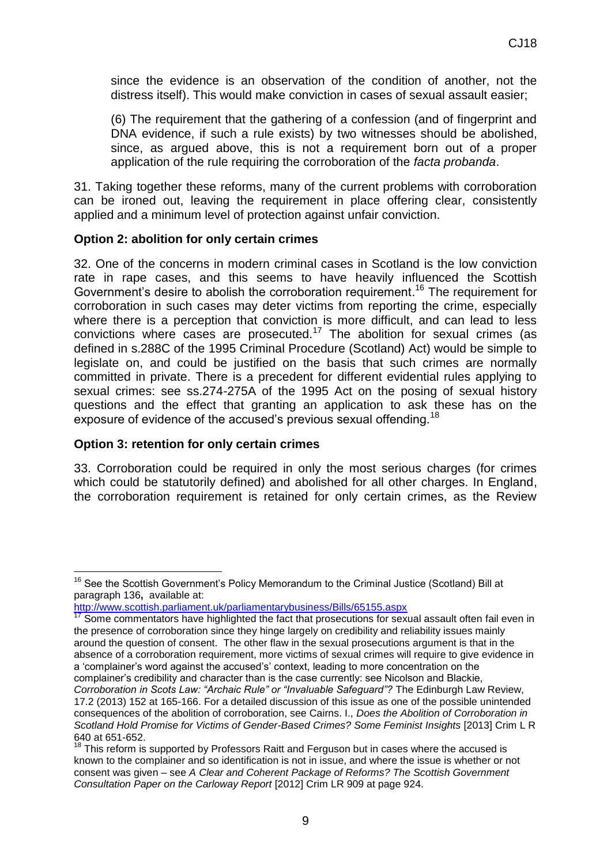since the evidence is an observation of the condition of another, not the distress itself). This would make conviction in cases of sexual assault easier;

(6) The requirement that the gathering of a confession (and of fingerprint and DNA evidence, if such a rule exists) by two witnesses should be abolished, since, as argued above, this is not a requirement born out of a proper application of the rule requiring the corroboration of the *facta probanda*.

31. Taking together these reforms, many of the current problems with corroboration can be ironed out, leaving the requirement in place offering clear, consistently applied and a minimum level of protection against unfair conviction.

### **Option 2: abolition for only certain crimes**

32. One of the concerns in modern criminal cases in Scotland is the low conviction rate in rape cases, and this seems to have heavily influenced the Scottish Government's desire to abolish the corroboration requirement.<sup>16</sup> The requirement for corroboration in such cases may deter victims from reporting the crime, especially where there is a perception that conviction is more difficult, and can lead to less convictions where cases are prosecuted.<sup>17</sup> The abolition for sexual crimes (as defined in s.288C of the 1995 Criminal Procedure (Scotland) Act) would be simple to legislate on, and could be justified on the basis that such crimes are normally committed in private. There is a precedent for different evidential rules applying to sexual crimes: see ss.274-275A of the 1995 Act on the posing of sexual history questions and the effect that granting an application to ask these has on the exposure of evidence of the accused's previous sexual offending.<sup>18</sup>

### **Option 3: retention for only certain crimes**

 $\overline{a}$ 

33. Corroboration could be required in only the most serious charges (for crimes which could be statutorily defined) and abolished for all other charges. In England, the corroboration requirement is retained for only certain crimes, as the Review

 $16$  See the Scottish Government's Policy Memorandum to the Criminal Justice (Scotland) Bill at paragraph 136**,** available at:

<http://www.scottish.parliament.uk/parliamentarybusiness/Bills/65155.aspx>

 $17$  Some commentators have highlighted the fact that prosecutions for sexual assault often fail even in the presence of corroboration since they hinge largely on credibility and reliability issues mainly around the question of consent. The other flaw in the sexual prosecutions argument is that in the absence of a corroboration requirement, more victims of sexual crimes will require to give evidence in a 'complainer's word against the accused's' context, leading to more concentration on the complainer's credibility and character than is the case currently: see Nicolson and Blackie,

*Corroboration in Scots Law: "Archaic Rule" or "Invaluable Safeguard"?* The Edinburgh Law Review, 17.2 (2013) 152 at 165-166. For a detailed discussion of this issue as one of the possible unintended consequences of the abolition of corroboration, see Cairns. I., *Does the Abolition of Corroboration in Scotland Hold Promise for Victims of Gender-Based Crimes? Some Feminist Insights* [2013] Crim L R 640 at 651-652.

 $18$  This reform is supported by Professors Raitt and Ferguson but in cases where the accused is known to the complainer and so identification is not in issue, and where the issue is whether or not consent was given – see *A Clear and Coherent Package of Reforms? The Scottish Government Consultation Paper on the Carloway Report* [2012] Crim LR 909 at page 924.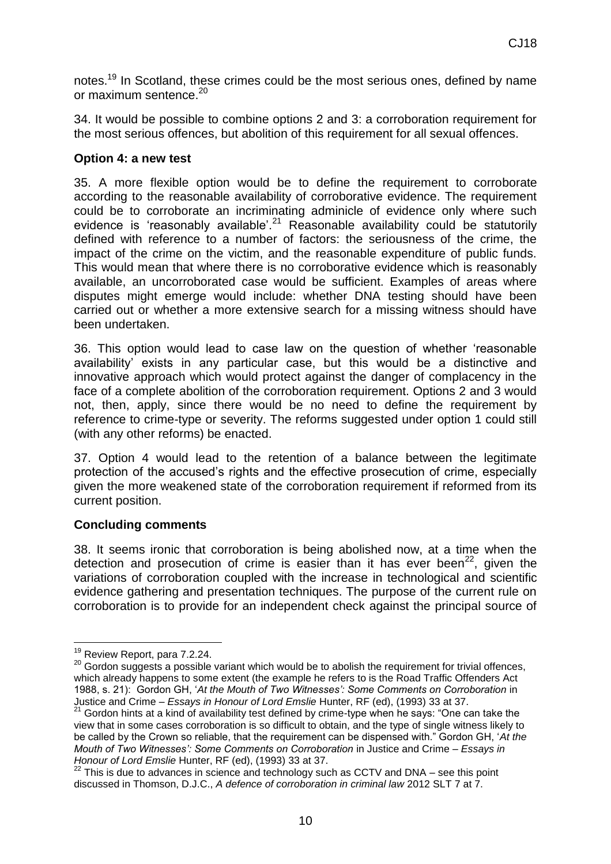notes.<sup>19</sup> In Scotland, these crimes could be the most serious ones, defined by name or maximum sentence.<sup>20</sup>

34. It would be possible to combine options 2 and 3: a corroboration requirement for the most serious offences, but abolition of this requirement for all sexual offences.

### **Option 4: a new test**

35. A more flexible option would be to define the requirement to corroborate according to the reasonable availability of corroborative evidence. The requirement could be to corroborate an incriminating adminicle of evidence only where such evidence is 'reasonably available'.<sup>21</sup> Reasonable availability could be statutorily defined with reference to a number of factors: the seriousness of the crime, the impact of the crime on the victim, and the reasonable expenditure of public funds. This would mean that where there is no corroborative evidence which is reasonably available, an uncorroborated case would be sufficient. Examples of areas where disputes might emerge would include: whether DNA testing should have been carried out or whether a more extensive search for a missing witness should have been undertaken.

36. This option would lead to case law on the question of whether 'reasonable availability' exists in any particular case, but this would be a distinctive and innovative approach which would protect against the danger of complacency in the face of a complete abolition of the corroboration requirement. Options 2 and 3 would not, then, apply, since there would be no need to define the requirement by reference to crime-type or severity. The reforms suggested under option 1 could still (with any other reforms) be enacted.

37. Option 4 would lead to the retention of a balance between the legitimate protection of the accused's rights and the effective prosecution of crime, especially given the more weakened state of the corroboration requirement if reformed from its current position.

### **Concluding comments**

38. It seems ironic that corroboration is being abolished now, at a time when the detection and prosecution of crime is easier than it has ever been<sup>22</sup>, given the variations of corroboration coupled with the increase in technological and scientific evidence gathering and presentation techniques. The purpose of the current rule on corroboration is to provide for an independent check against the principal source of

 $\overline{a}$ <sup>19</sup> Review Report, para 7.2.24.

 $20$  Gordon suggests a possible variant which would be to abolish the requirement for trivial offences, which already happens to some extent (the example he refers to is the Road Traffic Offenders Act 1988, s. 21): Gordon GH, '*At the Mouth of Two Witnesses': Some Comments on Corroboration* in Justice and Crime – *Essays in Honour of Lord Emslie* Hunter, RF (ed), (1993) 33 at 37.

 $21$  Gordon hints at a kind of availability test defined by crime-type when he says: "One can take the view that in some cases corroboration is so difficult to obtain, and the type of single witness likely to be called by the Crown so reliable, that the requirement can be dispensed with." Gordon GH, '*At the Mouth of Two Witnesses': Some Comments on Corroboration* in Justice and Crime – *Essays in Honour of Lord Emslie* Hunter, RF (ed), (1993) 33 at 37.

 $22$  This is due to advances in science and technology such as CCTV and DNA – see this point discussed in Thomson, D.J.C., *A defence of corroboration in criminal law* 2012 SLT 7 at 7.